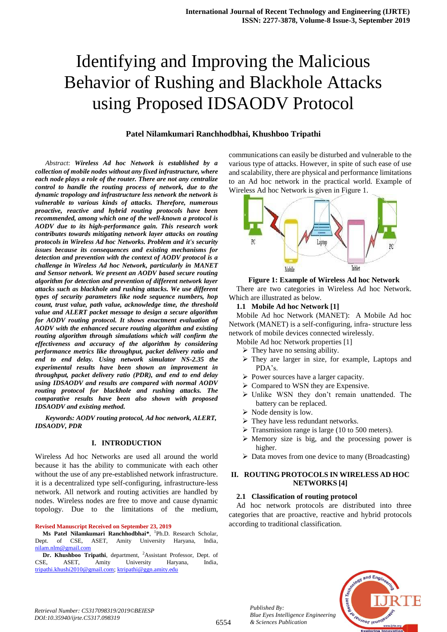## **Patel Nilamkumari Ranchhodbhai, Khushboo Tripathi**

*Abstract*: *Wireless Ad hoc Network is established by a collection of mobile nodes without any fixed infrastructure, where each node plays a role of the router. There are not any centralize control to handle the routing process of network, due to the dynamic tropology and infrastructure less network the network is vulnerable to various kinds of attacks. Therefore, numerous proactive, reactive and hybrid routing protocols have been recommended, among which one of the well-known a protocol is AODV due to its high-performance gain. This research work contributes towards mitigating network layer attacks on routing protocols in Wireless Ad hoc Networks. Problem and it's security issues because its consequences and existing mechanisms for detection and prevention with the context of AODV protocol is a challenge in Wireless Ad hoc Network, particularly in MANET and Sensor network. We present an AODV based secure routing algorithm for detection and prevention of different network layer attacks such as blackhole and rushing attacks. We use different types of security parameters like node sequence numbers, hop count, trust value, path value, acknowledge time, the threshold value and ALERT packet message to design a secure algorithm for AODV routing protocol. It shows enactment evaluation of AODV with the enhanced secure routing algorithm and existing routing algorithm through simulations which will confirm the effectiveness and accuracy of the algorithm by considering performance metrics like throughput, packet delivery ratio and end to end delay. Using network simulator NS-2.35 the experimental results have been shown an improvement in throughput, packet delivery ratio (PDR), and end to end delay using IDSAODV and results are compared with normal AODV routing protocol for blackhole and rushing attacks. The comparative results have been also shown with proposed IDSAODV and existing method.*

*Keywords: AODV routing protocol, Ad hoc network, ALERT, IDSAODV, PDR*

## **I. INTRODUCTION**

Wireless Ad hoc Networks are used all around the world because it has the ability to communicate with each other without the use of any pre-established network infrastructure. it is a decentralized type self-configuring, infrastructure-less network. All network and routing activities are handled by nodes. Wireless nodes are free to move and cause dynamic topology. Due to the limitations of the medium,

#### **Revised Manuscript Received on September 23, 2019**

**Ms Patel Nilamkumari Ranchhodbhai\***, 1 Ph.D. Research Scholar, Dept. of CSE, ASET, Amity University Haryana, India, [nilam.nlm@gmail.com](mailto:nilam.nlm@gmail.com)

**Dr. Khushboo Tripathi**, department, <sup>2</sup>Assistant Professor, Dept. of CSE, ASET, Amity University Haryana, India, [tripathi.khushi2010@gmail.com;](mailto:tripathi.khushi2010@gmail.com) [ktripathi@ggn.amity.edu](mailto:ktripathi@ggn.amity.edu)

communications can easily be disturbed and vulnerable to the various type of attacks. However, in spite of such ease of use and scalability, there are physical and performance limitations to an Ad hoc network in the practical world. Example of Wireless Ad hoc Network is given in Figure 1.



#### **Figure 1: Example of Wireless Ad hoc Network**

There are two categories in Wireless Ad hoc Network. Which are illustrated as below.

#### **1.1 Mobile Ad hoc Network [1]**

Mobile Ad hoc Network (MANET): A Mobile Ad hoc Network (MANET) is a self-configuring, infra- structure less network of mobile devices connected wirelessly.

- Mobile Ad hoc Network properties [1]
	- $\triangleright$  They have no sensing ability.
	- They are larger in size, for example, Laptops and PDA's.
	- Power sources have a larger capacity.
	- $\triangleright$  Compared to WSN they are Expensive.
	- $\triangleright$  Unlike WSN they don't remain unattended. The battery can be replaced.
	- $\triangleright$  Node density is low.
	- > They have less redundant networks.
	- $\triangleright$  Transmission range is large (10 to 500 meters).
	- $\triangleright$  Memory size is big, and the processing power is higher.
	- $\triangleright$  Data moves from one device to many (Broadcasting)

## **II. ROUTING PROTOCOLS IN WIRELESS AD HOC NETWORKS [4]**

## **2.1 Classification of routing protocol**

Ad hoc network protocols are distributed into three categories that are proactive, reactive and hybrid protocols according to traditional classification.



*Retrieval Number: C5317098319/2019©BEIESP DOI:10.35940/ijrte.C5317.098319*

*Published By:*

*& Sciences Publication*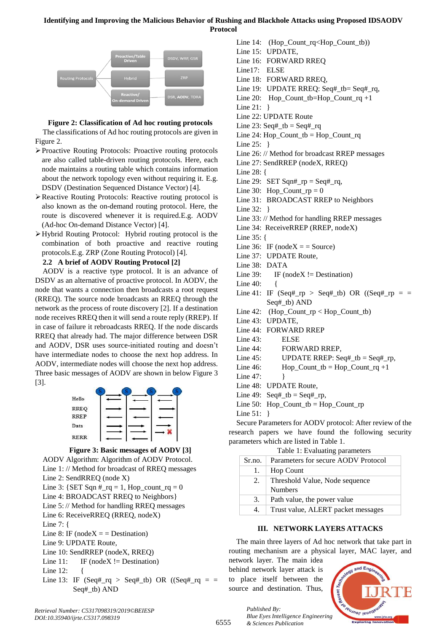

# **Figure 2: Classification of Ad hoc routing protocols**

The classifications of Ad hoc routing protocols are given in Figure 2.

- Proactive Routing Protocols: Proactive routing protocols are also called table-driven routing protocols. Here, each node maintains a routing table which contains information about the network topology even without requiring it. E.g. DSDV (Destination Sequenced Distance Vector) [4].
- Reactive Routing Protocols: Reactive routing protocol is also known as the on-demand routing protocol. Here, the route is discovered whenever it is required.E.g. AODV (Ad-hoc On-demand Distance Vector) [4].
- Hybrid Routing Protocol: Hybrid routing protocol is the combination of both proactive and reactive routing protocols.E.g. ZRP (Zone Routing Protocol) [4].

# **2.2 A brief of AODV Routing Protocol [2]**

AODV is a reactive type protocol. It is an advance of DSDV as an alternative of proactive protocol. In AODV, the node that wants a connection then broadcasts a root request (RREQ). The source node broadcasts an RREQ through the network as the process of route discovery [2]. If a destination node receives RREQ then it will send a route reply (RREP). If in case of failure it rebroadcasts RREQ. If the node discards RREQ that already had. The major difference between DSR and AODV, DSR uses source-initiated routing and doesn't have intermediate nodes to choose the next hop address. In AODV, intermediate nodes will choose the next hop address. Three basic messages of AODV are shown in below Figure 3 [3].





AODV Algorithm: Algorithm of AODV Protocol. Line 1: // Method for broadcast of RREQ messages

- Line 2: SendRREQ (node X)
- Line 3:  ${SET Sqn \#_rq = 1, Hop\_count_rq = 0}$
- Line 4: BROADCAST RREQ to Neighbors}
- Line 5: // Method for handling RREQ messages
- Line 6: ReceiveRREQ (RREQ, nodeX)
- Line 7: {
- Line 8: IF ( $nodeX =$  Destination)
- Line 9: UPDATE Route,
- Line 10: SendRREP (nodeX, RREQ)
- Line 11: IF (nodeX  $!=$  Destination)
- Line 12: {
- Line 13: IF (Seq#\_rq > Seq#\_tb) OR ((Seq#\_rq = = Seq#\_tb) AND
- Line 14: (Hop\_Count\_rq<Hop\_Count\_tb))
- Line 15: UPDATE,
- Line 16: FORWARD RREQ
- Line17: ELSE
- Line 18: FORWARD RREQ,
- Line 19: UPDATE RREQ: Seq#\_tb= Seq#\_rq,
- Line 20: Hop\_Count\_tb=Hop\_Count\_rq +1
- Line 21: }
- Line 22: UPDATE Route
- Line 23: Seq#\_tb = Seq#\_rq
- Line 24: Hop\_Count\_tb = Hop\_Count\_rq
- Line 25: }
- Line 26: // Method for broadcast RREP messages
- Line 27: SendRREP (nodeX, RREQ)
- Line 28: {
- Line 29: SET Sqn#\_rp = Seq#\_rq,
- Line 30: Hop\_Count\_rp = 0
- Line 31: BROADCAST RREP to Neighbors
- Line 32: }
- Line 33: // Method for handling RREP messages
- Line 34: ReceiveRREP (RREP, nodeX)
- Line 35: {
- Line 36: IF (node $X =$  = Source)
- Line 37: UPDATE Route,
- Line 38: DATA
- Line 39: IF (nodeX  $!=$  Destination)
- Line  $40:$  {
- Line 41: IF  $(Seq#<sub>rp</sub> > Seq#<sub>rt</sub>tb) OR ((Seq#<sub>rp</sub> = =$ Seq#\_tb) AND
- Line 42: (Hop\_Count\_rp < Hop\_Count\_tb)
- Line 43: UPDATE,
- Line 44: FORWARD RREP
- Line 43: ELSE
- Line 44: FORWARD RREP,
- Line 45: UPDATE RREP: Seq # tb = Seq # rp,
- Line 46: Hop\_Count\_tb =  $Hop$ \_Count\_rq +1
- Line 47: }
- Line 48: UPDATE Route,
- Line 49: Seq# tb = Seq# rp,
- Line 50: Hop\_Count\_tb =  $Hop$ \_Count\_rp
- Line 51: }

Secure Parameters for AODV protocol: After review of the research papers we have found the following security parameters which are listed in Table 1.

Table 1: Evaluating parameters

| Sr.no. | Parameters for secure AODV Protocol |
|--------|-------------------------------------|
| 1.     | <b>Hop Count</b>                    |
| 2.     | Threshold Value, Node sequence      |
|        | <b>Numbers</b>                      |
| 3.     | Path value, the power value         |
| 4.     | Trust value, ALERT packet messages  |

## **III. NETWORK LAYERS ATTACKS**

The main three layers of Ad hoc network that take part in routing mechanism are a physical layer, MAC layer, and

network layer. The main idea behind network layer attack is to place itself between the source and destination. Thus,

*& Sciences Publication* 

*Published By:*



6555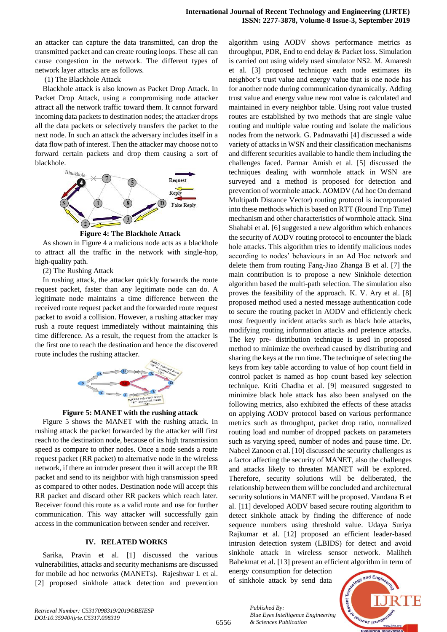an attacker can capture the data transmitted, can drop the transmitted packet and can create routing loops. These all can cause congestion in the network. The different types of network layer attacks are as follows.

#### (1) The Blackhole Attack

Blackhole attack is also known as Packet Drop Attack. In Packet Drop Attack, using a compromising node attacker attract all the network traffic toward them. It cannot forward incoming data packets to destination nodes; the attacker drops all the data packets or selectively transfers the packet to the next node. In such an attack the adversary includes itself in a data flow path of interest. Then the attacker may choose not to forward certain packets and drop them causing a sort of blackhole.



**Figure 4: The Blackhole Attack**

As shown in Figure 4 a malicious node acts as a blackhole to attract all the traffic in the network with single-hop, high-quality path.

(2) The Rushing Attack

In rushing attack, the attacker quickly forwards the route request packet, faster than any legitimate node can do. A legitimate node maintains a time difference between the received route request packet and the forwarded route request packet to avoid a collision. However, a rushing attacker may rush a route request immediately without maintaining this time difference. As a result, the request from the attacker is the first one to reach the destination and hence the discovered route includes the rushing attacker.





Figure 5 shows the MANET with the rushing attack. In rushing attack the packet forwarded by the attacker will first reach to the destination node, because of its high transmission speed as compare to other nodes. Once a node sends a route request packet (RR packet) to alternative node in the wireless network, if there an intruder present then it will accept the RR packet and send to its neighbor with high transmission speed as compared to other nodes. Destination node will accept this RR packet and discard other RR packets which reach later. Receiver found this route as a valid route and use for further communication. This way attacker will successfully gain access in the communication between sender and receiver.

#### **IV. RELATED WORKS**

Sarika, Pravin et al. [1] discussed the various vulnerabilities, attacks and security mechanisms are discussed for mobile ad hoc networks (MANETs). Rajeshwar L et al. [2] proposed sinkhole attack detection and prevention algorithm using AODV shows performance metrics as throughput, PDR, End to end delay & Packet loss. Simulation is carried out using widely used simulator NS2. M. Amaresh et al. [3] proposed technique each node estimates its neighbor's trust value and energy value that is one node has for another node during communication dynamically. Adding trust value and energy value new root value is calculated and maintained in every neighbor table. Using root value trusted routes are established by two methods that are single value routing and multiple value routing and isolate the malicious nodes from the network. G. Padmavathi [4] discussed a wide variety of attacks in WSN and their classification mechanisms and different securities available to handle them including the challenges faced. Parmar Amish et al. [5] discussed the techniques dealing with wormhole attack in WSN are surveyed and a method is proposed for detection and prevention of wormhole attack. AOMDV (Ad hoc On demand Multipath Distance Vector) routing protocol is incorporated into these methods which is based on RTT (Round Trip Time) mechanism and other characteristics of wormhole attack. Sina Shahabi et al. [6] suggested a new algorithm which enhances the security of AODV routing protocol to encounter the black hole attacks. This algorithm tries to identify malicious nodes according to nodes' behaviours in an Ad Hoc network and delete them from routing Fang-Jiao Zhanga B et al. [7] the main contribution is to propose a new Sinkhole detection algorithm based the multi-path selection. The simulation also proves the feasibility of the approach. K. V. Ary et al. [8] proposed method used a nested message authentication code to secure the routing packet in AODV and efficiently check most frequently incident attacks such as black hole attacks, modifying routing information attacks and pretence attacks. The key pre- distribution technique is used in proposed method to minimize the overhead caused by distributing and sharing the keys at the run time. The technique of selecting the keys from key table according to value of hop count field in control packet is named as hop count based key selection technique. Kriti Chadha et al. [9] measured suggested to minimize black hole attack has also been analysed on the following metrics, also exhibited the effects of these attacks on applying AODV protocol based on various performance metrics such as throughput, packet drop ratio, normalized routing load and number of dropped packets on parameters such as varying speed, number of nodes and pause time. Dr. Nabeel Zanoon et al. [10] discussed the security challenges as a factor affecting the security of MANET, also the challenges and attacks likely to threaten MANET will be explored. Therefore, security solutions will be deliberated, the relationship between them will be concluded and architectural security solutions in MANET will be proposed. Vandana B et al. [11] developed AODV based secure routing algorithm to detect sinkhole attack by finding the difference of node sequence numbers using threshold value. Udaya Suriya Rajkumar et al. [12] proposed an efficient leader-based intrusion detection system (LBIDS) for detect and avoid sinkhole attack in wireless sensor network. Maliheh Bahekmat et al. [13] present an efficient algorithm in term of

energy consumption for detection of sinkhole attack by send data

*& Sciences Publication* 

*Published By:*



6556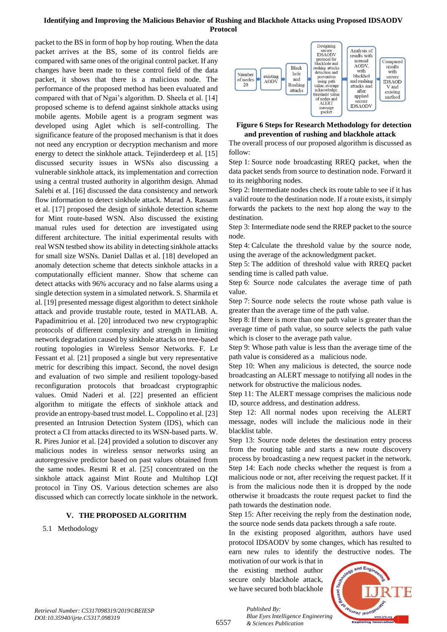packet to the BS in form of hop by hop routing. When the data packet arrives at the BS, some of its control fields are compared with same ones of the original control packet. If any changes have been made to these control field of the data packet, it shows that there is a malicious node. The performance of the proposed method has been evaluated and compared with that of Ngai's algorithm. D. Sheela et al. [14] proposed scheme is to defend against sinkhole attacks using mobile agents. Mobile agent is a program segment was developed using Aglet which is self-controlling. The significance feature of the proposed mechanism is that it does not need any encryption or decryption mechanism and more energy to detect the sinkhole attack. Tejinderdeep et al. [15] discussed security issues in WSNs also discussing a vulnerable sinkhole attack, its implementation and correction using a central trusted authority in algorithm design. Ahmad Salehi et al. [16] discussed the data consistency and network flow information to detect sinkhole attack. Murad A. Rassam et al. [17] proposed the design of sinkhole detection scheme for Mint route-based WSN. Also discussed the existing manual rules used for detection are investigated using different architecture. The initial experimental results with real WSN testbed show its ability in detecting sinkhole attacks for small size WSNs. Daniel Dallas et al. [18] developed an anomaly detection scheme that detects sinkhole attacks in a computationally efficient manner. Show that scheme can detect attacks with 96% accuracy and no false alarms using a single detection system in a simulated network. S. Sharmila et al. [19] presented message digest algorithm to detect sinkhole attack and provide trustable route, tested in MATLAB. A. Papadimitriou et al. [20] introduced two new cryptographic protocols of different complexity and strength in limiting network degradation caused by sinkhole attacks on tree-based routing topologies in Wireless Sensor Networks. F. Le Fessant et al. [21] proposed a single but very representative metric for describing this impact. Second, the novel design and evaluation of two simple and resilient topology-based reconfiguration protocols that broadcast cryptographic values. Omid Naderi et al. [22] presented an efficient algorithm to mitigate the effects of sinkhole attack and provide an entropy-based trust model. L. Coppolino et al. [23] presented an Intrusion Detection System (IDS), which can protect a CI from attacks directed to its WSN-based parts. W. R. Pires Junior et al. [24] provided a solution to discover any malicious nodes in wireless sensor networks using an autoregressive predictor based on past values obtained from the same nodes. Resmi R et al. [25] concentrated on the sinkhole attack against Mint Route and Multihop LQI protocol in Tiny OS. Various detection schemes are also discussed which can correctly locate sinkhole in the network.

## **V. THE PROPOSED ALGORITHM**

5.1 Methodology



## **Figure 6 Steps for Research Methodology for detection and prevention of rushing and blackhole attack**

The overall process of our proposed algorithm is discussed as follow:

Step 1: Source node broadcasting RREQ packet, when the data packet sends from source to destination node. Forward it to its neighboring nodes.

Step 2: Intermediate nodes check its route table to see if it has a valid route to the destination node. If a route exists, it simply forwards the packets to the next hop along the way to the destination.

Step 3: Intermediate node send the RREP packet to the source node.

Step 4: Calculate the threshold value by the source node, using the average of the acknowledgment packet.

Step 5: The addition of threshold value with RREQ packet sending time is called path value.

Step 6: Source node calculates the average time of path value.

Step 7: Source node selects the route whose path value is greater than the average time of the path value.

Step 8: If there is more than one path value is greater than the average time of path value, so source selects the path value which is closer to the average path value.

Step 9: Whose path value is less than the average time of the path value is considered as a malicious node.

Step 10: When any malicious is detected, the source node broadcasting an ALERT message to notifying all nodes in the network for obstructive the malicious nodes.

Step 11: The ALERT message comprises the malicious node ID, source address, and destination address.

Step 12: All normal nodes upon receiving the ALERT message, nodes will include the malicious node in their blacklist table.

Step 13: Source node deletes the destination entry process from the routing table and starts a new route discovery process by broadcasting a new request packet in the network. Step 14: Each node checks whether the request is from a malicious node or not, after receiving the request packet. If it is from the malicious node then it is dropped by the node otherwise it broadcasts the route request packet to find the path towards the destination node.

Step 15: After receiving the reply from the destination node, the source node sends data packets through a safe route.

In the existing proposed algorithm, authors have used protocol IDSAODV by some changes, which has resulted to earn new rules to identify the destructive nodes. The

motivation of our work is that in the existing method author secure only blackhole attack, we have secured both blackhole

*& Sciences Publication* 

*Published By:*



6557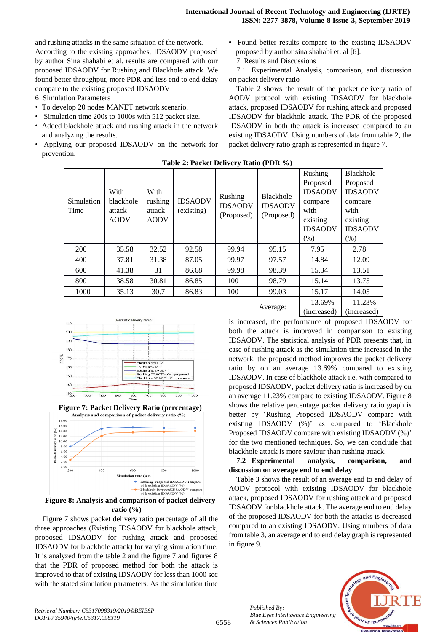and rushing attacks in the same situation of the network.

According to the existing approaches, IDSAODV proposed by author Sina shahabi et al. results are compared with our proposed IDSAODV for Rushing and Blackhole attack. We found better throughput, more PDR and less end to end delay compare to the existing proposed IDSAODV

- 6 Simulation Parameters
- To develop 20 nodes MANET network scenario.
- Simulation time 200s to 1000s with 512 packet size.
- Added blackhole attack and rushing attack in the network and analyzing the results.
- Applying our proposed IDSAODV on the network for prevention.

• Found better results compare to the existing IDSAODV proposed by author sina shahabi et. al [6].

7 Results and Discussions

7.1 Experimental Analysis, comparison, and discussion on packet delivery ratio

Table 2 shows the result of the packet delivery ratio of AODV protocol with existing IDSAODV for blackhole attack, proposed IDSAODV for rushing attack and proposed IDSAODV for blackhole attack. The PDR of the proposed IDSAODV in both the attack is increased compared to an existing IDSAODV. Using numbers of data from table 2, the packet delivery ratio graph is represented in figure 7.

| Simulation<br>Time | With<br>blackhole<br>attack<br><b>AODV</b> | With<br>rushing<br>attack<br><b>AODV</b> | <b>IDSAODV</b><br>(existing) | Rushing<br><b>IDSAODV</b><br>(Proposed) | <b>Blackhole</b><br><b>IDSAODV</b><br>(Proposed) | Rushing<br>Proposed<br><b>IDSAODV</b><br>compare<br>with<br>existing<br><b>IDSAODV</b> | Blackhole<br>Proposed<br><b>IDSAODV</b><br>compare<br>with<br>existing<br><b>IDSAODV</b> |
|--------------------|--------------------------------------------|------------------------------------------|------------------------------|-----------------------------------------|--------------------------------------------------|----------------------------------------------------------------------------------------|------------------------------------------------------------------------------------------|
|                    |                                            |                                          |                              |                                         |                                                  | (% )                                                                                   | (% )                                                                                     |
| 200                | 35.58                                      | 32.52                                    | 92.58                        | 99.94                                   | 95.15                                            | 7.95                                                                                   | 2.78                                                                                     |
| 400                | 37.81                                      | 31.38                                    | 87.05                        | 99.97                                   | 97.57                                            | 14.84                                                                                  | 12.09                                                                                    |
| 600                | 41.38                                      | 31                                       | 86.68                        | 99.98                                   | 98.39                                            | 15.34                                                                                  | 13.51                                                                                    |
| 800                | 38.58                                      | 30.81                                    | 86.85                        | 100                                     | 98.79                                            | 15.14                                                                                  | 13.75                                                                                    |
| 1000               | 35.13                                      | 30.7                                     | 86.83                        | 100                                     | 99.03                                            | 15.17                                                                                  | 14.05                                                                                    |
|                    |                                            |                                          |                              |                                         | Average:                                         | 13.69%<br>$\blacksquare$                                                               | 11.23%<br>$\lambda$ . The same state $\lambda$                                           |

**Table 2: Packet Delivery Ratio (PDR %)**







**Figure 8: Analysis and comparison of packet delivery ratio (%)**

Figure 7 shows packet delivery ratio percentage of all the three approaches (Existing IDSAODV for blackhole attack, proposed IDSAODV for rushing attack and proposed IDSAODV for blackhole attack) for varying simulation time. It is analyzed from the table 2 and the figure 7 and figures 8 that the PDR of proposed method for both the attack is improved to that of existing IDSAODV for less than 1000 sec with the stated simulation parameters. As the simulation time is increased, the performance of proposed IDSAODV for both the attack is improved in comparison to existing IDSAODV. The statistical analysis of PDR presents that, in case of rushing attack as the simulation time increased in the network, the proposed method improves the packet delivery ratio by on an average 13.69% compared to existing IDSAODV. In case of blackhole attack i.e. with compared to proposed IDSAODV, packet delivery ratio is increased by on an average 11.23% compare to existing IDSAODV. Figure 8 shows the relative percentage packet delivery ratio graph is better by 'Rushing Proposed IDSAODV compare with existing IDSAODV (%)' as compared to 'Blackhole Proposed IDSAODV compare with existing IDSAODV (%)' for the two mentioned techniques. So, we can conclude that blackhole attack is more saviour than rushing attack.

(increased)

(increased)

## **7.2 Experimental analysis, comparison, and discussion on average end to end delay**

Table 3 shows the result of an average end to end delay of AODV protocol with existing IDSAODV for blackhole attack, proposed IDSAODV for rushing attack and proposed IDSAODV for blackhole attack. The average end to end delay of the proposed IDSAODV for both the attacks is decreased compared to an existing IDSAODV. Using numbers of data from table 3, an average end to end delay graph is represented in figure 9.



*Retrieval Number: C5317098319/2019©BEIESP DOI:10.35940/ijrte.C5317.098319*

*Published By:*

*& Sciences Publication*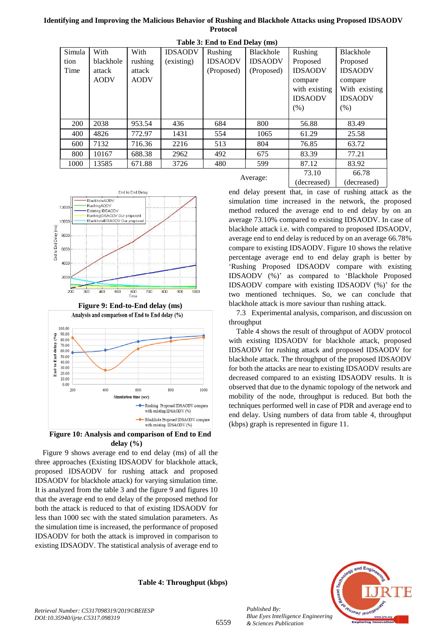| Table 5: End to End Delay (ms) |             |             |                |                |                |                |                |
|--------------------------------|-------------|-------------|----------------|----------------|----------------|----------------|----------------|
| Simula                         | With        | With        | <b>IDSAODV</b> | Rushing        | Blackhole      | <b>Rushing</b> | Blackhole      |
| tion                           | blackhole   | rushing     | (existing)     | <b>IDSAODV</b> | <b>IDSAODV</b> | Proposed       | Proposed       |
| Time                           | attack      | attack      |                | (Proposed)     | (Proposed)     | <b>IDSAODV</b> | <b>IDSAODV</b> |
|                                | <b>AODV</b> | <b>AODV</b> |                |                |                | compare        | compare        |
|                                |             |             |                |                |                | with existing  | With existing  |
|                                |             |             |                |                |                | <b>IDSAODV</b> | <b>IDSAODV</b> |
|                                |             |             |                |                |                | (% )           | (% )           |
|                                |             |             |                |                |                |                |                |
| 200                            | 2038        | 953.54      | 436            | 684            | 800            | 56.88          | 83.49          |
| 400                            | 4826        | 772.97      | 1431           | 554            | 1065           | 61.29          | 25.58          |
| 600                            | 7132        | 716.36      | 2216           | 513            | 804            | 76.85          | 63.72          |
| 800                            | 10167       | 688.38      | 2962           | 492            | 675            | 83.39          | 77.21          |
| 1000                           | 13585       | 671.88      | 3726           | 480            | 599            | 87.12          | 83.92          |
|                                |             |             |                |                |                | 73.10          | 66.78          |
|                                |             |             |                |                | Average:       | (1.1.1.1)      | (1.1)          |









**Figure 10: Analysis and comparison of End to End delay (%)**

Figure 9 shows average end to end delay (ms) of all the three approaches (Existing IDSAODV for blackhole attack, proposed IDSAODV for rushing attack and proposed IDSAODV for blackhole attack) for varying simulation time. It is analyzed from the table 3 and the figure 9 and figures 10 that the average end to end delay of the proposed method for both the attack is reduced to that of existing IDSAODV for less than 1000 sec with the stated simulation parameters. As the simulation time is increased, the performance of proposed IDSAODV for both the attack is improved in comparison to existing IDSAODV. The statistical analysis of average end to

**Table 4: Throughput (kbps)**

(decreased) (decreased) end delay present that, in case of rushing attack as the simulation time increased in the network, the proposed method reduced the average end to end delay by on an average 73.10% compared to existing IDSAODV. In case of blackhole attack i.e. with compared to proposed IDSAODV, average end to end delay is reduced by on an average 66.78% compare to existing IDSAODV. Figure 10 shows the relative percentage average end to end delay graph is better by 'Rushing Proposed IDSAODV compare with existing IDSAODV (%)' as compared to 'Blackhole Proposed IDSAODV compare with existing IDSAODV (%)' for the two mentioned techniques. So, we can conclude that blackhole attack is more saviour than rushing attack.

7.3 Experimental analysis, comparison, and discussion on throughput

Table 4 shows the result of throughput of AODV protocol with existing IDSAODV for blackhole attack, proposed IDSAODV for rushing attack and proposed IDSAODV for blackhole attack. The throughput of the proposed IDSAODV for both the attacks are near to existing IDSAODV results are decreased compared to an existing IDSAODV results. It is observed that due to the dynamic topology of the network and mobility of the node, throughput is reduced. But both the techniques performed well in case of PDR and average end to end delay. Using numbers of data from table 4, throughput (kbps) graph is represented in figure 11.



*Retrieval Number: C5317098319/2019©BEIESP DOI:10.35940/ijrte.C5317.098319*

*Published By:*

*& Sciences Publication*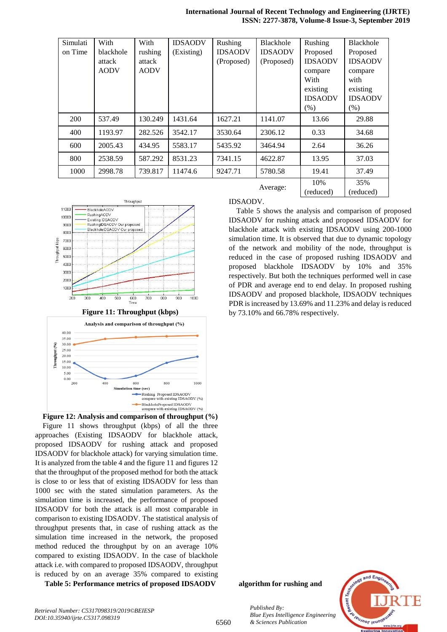**International Journal of Recent Technology and Engineering (IJRTE) ISSN: 2277-3878, Volume-8 Issue-3, September 2019**

| Simulati | With        | With        | <b>IDSAODV</b> | Rushing        | <b>Blackhole</b> | Rushing        | <b>Blackhole</b> |
|----------|-------------|-------------|----------------|----------------|------------------|----------------|------------------|
| on Time  | blackhole   | rushing     | (Existing)     | <b>IDSAODV</b> | <b>IDSAODV</b>   | Proposed       | Proposed         |
|          | attack      | attack      |                | (Proposed)     | (Proposed)       | <b>IDSAODV</b> | <b>IDSAODV</b>   |
|          | <b>AODV</b> | <b>AODV</b> |                |                |                  | compare        | compare          |
|          |             |             |                |                |                  | With           | with             |
|          |             |             |                |                |                  | existing       | existing         |
|          |             |             |                |                |                  | <b>IDSAODV</b> | <b>IDSAODV</b>   |
|          |             |             |                |                |                  | (% )           | $(\%)$           |
| 200      | 537.49      | 130.249     | 1431.64        | 1627.21        | 1141.07          | 13.66          | 29.88            |
| 400      | 1193.97     | 282.526     | 3542.17        | 3530.64        | 2306.12          | 0.33           | 34.68            |
| 600      | 2005.43     | 434.95      | 5583.17        | 5435.92        | 3464.94          | 2.64           | 36.26            |
| 800      | 2538.59     | 587.292     | 8531.23        | 7341.15        | 4622.87          | 13.95          | 37.03            |
| 1000     | 2998.78     | 739.817     | 11474.6        | 9247.71        | 5780.58          | 19.41          | 37.49            |
|          |             |             |                |                |                  | 10%            | 35%              |
|          |             |             |                |                | Average:         | (reduced)      | (reduced)        |



**Figure 11: Throughput (kbps)**



**Figure 12: Analysis and comparison of throughput (%)** Figure 11 shows throughput (kbps) of all the three approaches (Existing IDSAODV for blackhole attack, proposed IDSAODV for rushing attack and proposed IDSAODV for blackhole attack) for varying simulation time. It is analyzed from the table 4 and the figure 11 and figures 12 that the throughput of the proposed method for both the attack is close to or less that of existing IDSAODV for less than 1000 sec with the stated simulation parameters. As the simulation time is increased, the performance of proposed IDSAODV for both the attack is all most comparable in comparison to existing IDSAODV. The statistical analysis of throughput presents that, in case of rushing attack as the simulation time increased in the network, the proposed method reduced the throughput by on an average 10% compared to existing IDSAODV. In the case of blackhole attack i.e. with compared to proposed IDSAODV, throughput is reduced by on an average 35% compared to existing

**Table 5: Performance metrics of proposed IDSAODV algorithm for rushing and** 

IDSAODV.

Table 5 shows the analysis and comparison of proposed IDSAODV for rushing attack and proposed IDSAODV for blackhole attack with existing IDSAODV using 200-1000 simulation time. It is observed that due to dynamic topology of the network and mobility of the node, throughput is reduced in the case of proposed rushing IDSAODV and proposed blackhole IDSAODV by 10% and 35% respectively. But both the techniques performed well in case of PDR and average end to end delay. In proposed rushing IDSAODV and proposed blackhole, IDSAODV techniques PDR is increased by 13.69% and 11.23% and delay is reduced by 73.10% and 66.78% respectively.

*& Sciences Publication* 

*Published By:*



*Retrieval Number: C5317098319/2019©BEIESP DOI:10.35940/ijrte.C5317.098319*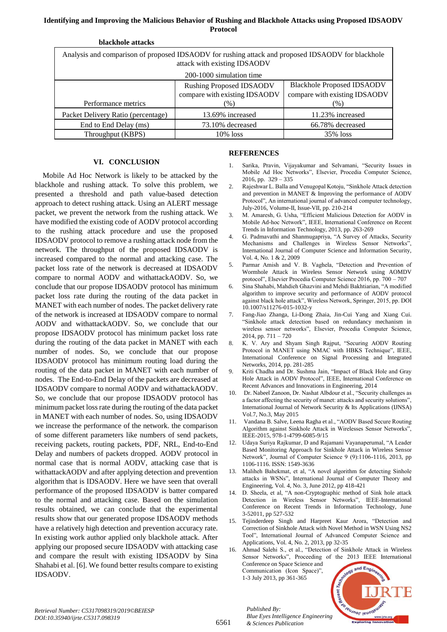| blackhole attacks                                                                                                                 |                                 |                                   |  |  |  |
|-----------------------------------------------------------------------------------------------------------------------------------|---------------------------------|-----------------------------------|--|--|--|
| Analysis and comparison of proposed IDSAODV for rushing attack and proposed IDSAODV for blackhole<br>attack with existing IDSAODV |                                 |                                   |  |  |  |
| 200-1000 simulation time                                                                                                          |                                 |                                   |  |  |  |
|                                                                                                                                   | <b>Rushing Proposed IDSAODV</b> | <b>Blackhole Proposed IDSAODV</b> |  |  |  |
|                                                                                                                                   | compare with existing IDSAODV   | compare with existing IDSAODV     |  |  |  |
| Performance metrics                                                                                                               | $(\%)$                          | $(\%)$                            |  |  |  |
| Packet Delivery Ratio (percentage)                                                                                                | 13.69% increased                | 11.23% increased                  |  |  |  |
| End to End Delay (ms)                                                                                                             | 73.10% decreased                | 66.78% decreased                  |  |  |  |
| Throughput (KBPS)                                                                                                                 | $10\%$ loss                     | 35% loss                          |  |  |  |

## **VI. CONCLUSION**

Mobile Ad Hoc Network is likely to be attacked by the blackhole and rushing attack. To solve this problem, we presented a threshold and path value-based detection approach to detect rushing attack. Using an ALERT message packet, we prevent the network from the rushing attack. We have modified the existing code of AODV protocol according to the rushing attack procedure and use the proposed IDSAODV protocol to remove a rushing attack node from the network. The throughput of the proposed IDSAODV is increased compared to the normal and attacking case. The packet loss rate of the network is decreased at IDSAODV compare to normal AODV and withattackAODV. So, we conclude that our propose IDSAODV protocol has minimum packet loss rate during the routing of the data packet in MANET with each number of nodes. The packet delivery rate of the network is increased at IDSAODV compare to normal AODV and withattackAODV. So, we conclude that our propose IDSAODV protocol has minimum packet loss rate during the routing of the data packet in MANET with each number of nodes. So, we conclude that our propose IDSAODV protocol has minimum routing load during the routing of the data packet in MANET with each number of nodes. The End-to-End Delay of the packets are decreased at IDSAODV compare to normal AODV and withattackAODV. So, we conclude that our propose IDSAODV protocol has minimum packet loss rate during the routing of the data packet in MANET with each number of nodes. So, using IDSAODV we increase the performance of the network. the comparison of some different parameters like numbers of send packets, receiving packets, routing packets, PDF, NRL, End-to-End Delay and numbers of packets dropped. AODV protocol in normal case that is normal AODV, attacking case that is withattackAODV and after applying detection and prevention algorithm that is IDSAODV. Here we have seen that overall performance of the proposed IDSAODV is batter compared to the normal and attacking case. Based on the simulation results obtained, we can conclude that the experimental results show that our generated propose IDSAODV methods have a relatively high detection and prevention accuracy rate. In existing work author applied only blackhole attack. After applying our proposed secure IDSAODV with attacking case and compare the result with existing IDSAODV by Sina Shahabi et al. [6]. We found better results compare to existing IDSAODV.

## **REFERENCES**

- 1. Sarika, Pravin, Vijayakumar and Selvamani, "Security Issues in Mobile Ad Hoc Networks", Elsevier, Procedia Computer Science, 2016, pp. 329 – 335
- 2. Rajeshwar L. Balla and Venugopal Kotoju, "Sinkhole Attack detection and prevention in MANET & Improving the performance of AODV Protocol", An international journal of advanced computer technology, July-2016, Volume-II, Issue-VII, pp. 210-214
- 3. M. Amaresh, G. Usha, "Efficient Malicious Detection for AODV in Mobile Ad-hoc Network", IEEE, International Conference on Recent Trends in Information Technology, 2013, pp. 263-269
- 4. G. Padmavathi and Shanmugapriya, "A Survey of Attacks, Security Mechanisms and Challenges in Wireless Sensor Networks", International Journal of Computer Science and Information Security, Vol. 4, No. 1 & 2, 2009
- 5. Parmar Amish and V. B. Vaghela, "Detection and Prevention of Wormhole Attack in Wireless Sensor Network using AOMDV protocol", Elsevier Procedia Computer Science 2016, pp. 700 – 707
- 6. Sina Shahabi, Mahdieh Ghazvini and Mehdi Bakhtiarian, "A modified algorithm to improve security and performance of AODV protocol against black hole attack", Wireless Network, Springer, 2015, pp. DOI 10.1007/s11276-015-1032-y
- 7. Fang-Jiao Zhanga, Li-Dong Zhaia, Jin-Cui Yang and Xiang Cui. "Sinkhole attack detection based on redundancy mechanism in wireless sensor networks", Elsevier, Procedia Computer Science, 2014, pp. 711 – 720
- 8. K. V. Ary and Shyam Singh Rajput, "Securing AODV Routing Protocol in MANET using NMAC with HBKS Technique", IEEE, International Conference on Signal Processing and Integrated Networks, 2014, pp. 281-285
- 9. Kriti Chadha and Dr. Sushma Jain, "Impact of Black Hole and Gray Hole Attack in AODV Protocol", IEEE, International Conference on Recent Advances and Innovations in Engineering, 2014
- 10. Dr. Nabeel Zanoon, Dr. Nashat Albdour et al., "Security challenges as a factor affecting the security of manet: attacks and security solutions", International Journal of Network Security & Its Applications (IJNSA) Vol.7, No.3, May 2015
- 11. Vandana B. Salve, Leena Ragha et al., "AODV Based Secure Routing Algorithm against Sinkhole Attack in Wirelesses Sensor Networks", IEEE-2015, 978-1-4799-6085-9/15
- 12. Udaya Suriya Rajkumar, D and Rajamani Vayanaperumal, "A Leader Based Monitoring Approach for Sinkhole Attack in Wireless Sensor Network", Journal of Computer Science 9 (9):1106-1116, 2013, pp 1106-1116. ISSN: 1549-3636
- 13. Maliheh Bahekmat, et al, "A novel algorithm for detecting Sinhole attacks in WSNs", International Journal of Computer Theory and Engineering, Vol. 4, No. 3, June 2012, pp 418-421
- 14. D. Sheela, et al, "A non-Cryptographic method of Sink hole attack Detection in Wireless Sensor Networks", IEEE-International Conference on Recent Trends in Information Technology, June 3-52011, pp 527-532
- 15. Tejinderdeep Singh and Harpreet Kaur Arora, "Detection and Correction of Sinkhole Attack with Novel Method in WSN Using NS2 Tool", International Journal of Advanced Computer Science and Applications, Vol. 4, No. 2, 2013, pp 32-35
- 16. Ahmad Salehi S., et al., "Detection of Sinkhole Attack in Wireless Sensor Networks", Proceeding of the 2013 IEEE International Conference on Space Science and Communication (Icon Space)",



*Retrieval Number: C5317098319/2019©BEIESP DOI:10.35940/ijrte.C5317.098319*

6561

*Published By: Blue Eyes Intelligence Engineering & Sciences Publication* 

1-3 July 2013, pp 361-365